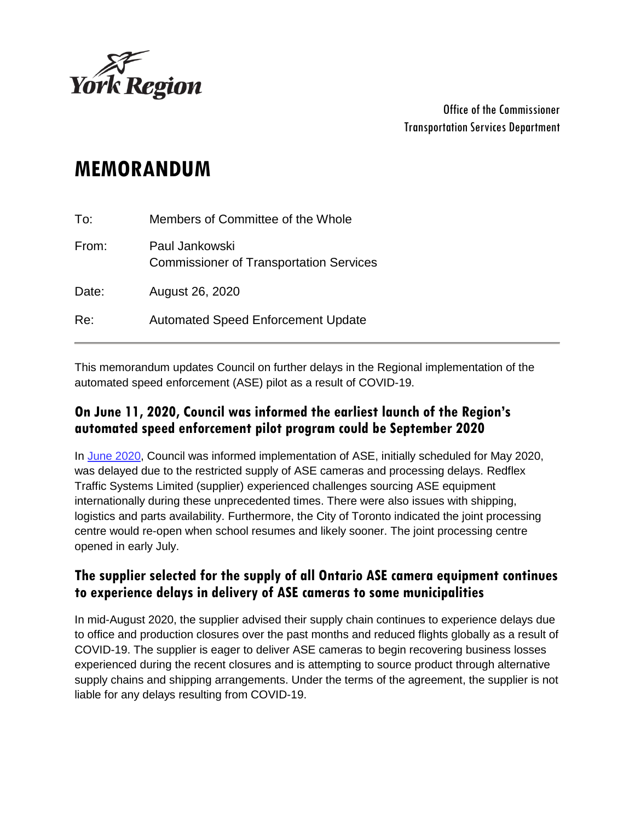

Office of the Commissioner Transportation Services Department

# **MEMORANDUM**

| Re:   | <b>Automated Speed Enforcement Update</b>                        |
|-------|------------------------------------------------------------------|
| Date: | August 26, 2020                                                  |
| From: | Paul Jankowski<br><b>Commissioner of Transportation Services</b> |
| To:   | Members of Committee of the Whole                                |

This memorandum updates Council on further delays in the Regional implementation of the automated speed enforcement (ASE) pilot as a result of COVID-19.

## **On June 11, 2020, Council was informed the earliest launch of the Region's automated speed enforcement pilot program could be September 2020**

In [June 2020,](https://yorkpublishing.escribemeetings.com/filestream.ashx?DocumentId=13604) Council was informed implementation of ASE, initially scheduled for May 2020, was delayed due to the restricted supply of ASE cameras and processing delays. Redflex Traffic Systems Limited (supplier) experienced challenges sourcing ASE equipment internationally during these unprecedented times. There were also issues with shipping, logistics and parts availability. Furthermore, the City of Toronto indicated the joint processing centre would re-open when school resumes and likely sooner. The joint processing centre opened in early July.

#### **The supplier selected for the supply of all Ontario ASE camera equipment continues to experience delays in delivery of ASE cameras to some municipalities**

In mid-August 2020, the supplier advised their supply chain continues to experience delays due to office and production closures over the past months and reduced flights globally as a result of COVID-19. The supplier is eager to deliver ASE cameras to begin recovering business losses experienced during the recent closures and is attempting to source product through alternative supply chains and shipping arrangements. Under the terms of the agreement, the supplier is not liable for any delays resulting from COVID-19.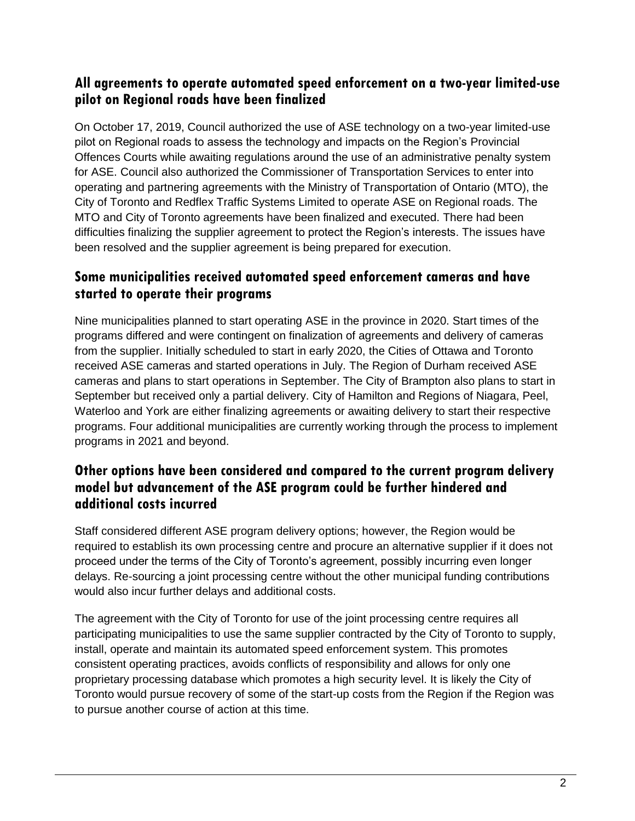#### **All agreements to operate automated speed enforcement on a two-year limited-use pilot on Regional roads have been finalized**

On October 17, 2019, Council authorized the use of ASE technology on a two-year limited-use pilot on Regional roads to assess the technology and impacts on the Region's Provincial Offences Courts while awaiting regulations around the use of an administrative penalty system for ASE. Council also authorized the Commissioner of Transportation Services to enter into operating and partnering agreements with the Ministry of Transportation of Ontario (MTO), the City of Toronto and Redflex Traffic Systems Limited to operate ASE on Regional roads. The MTO and City of Toronto agreements have been finalized and executed. There had been difficulties finalizing the supplier agreement to protect the Region's interests. The issues have been resolved and the supplier agreement is being prepared for execution.

## **Some municipalities received automated speed enforcement cameras and have started to operate their programs**

Nine municipalities planned to start operating ASE in the province in 2020. Start times of the programs differed and were contingent on finalization of agreements and delivery of cameras from the supplier. Initially scheduled to start in early 2020, the Cities of Ottawa and Toronto received ASE cameras and started operations in July. The Region of Durham received ASE cameras and plans to start operations in September. The City of Brampton also plans to start in September but received only a partial delivery. City of Hamilton and Regions of Niagara, Peel, Waterloo and York are either finalizing agreements or awaiting delivery to start their respective programs. Four additional municipalities are currently working through the process to implement programs in 2021 and beyond.

## **Other options have been considered and compared to the current program delivery model but advancement of the ASE program could be further hindered and additional costs incurred**

Staff considered different ASE program delivery options; however, the Region would be required to establish its own processing centre and procure an alternative supplier if it does not proceed under the terms of the City of Toronto's agreement, possibly incurring even longer delays. Re-sourcing a joint processing centre without the other municipal funding contributions would also incur further delays and additional costs.

The agreement with the City of Toronto for use of the joint processing centre requires all participating municipalities to use the same supplier contracted by the City of Toronto to supply, install, operate and maintain its automated speed enforcement system. This promotes consistent operating practices, avoids conflicts of responsibility and allows for only one proprietary processing database which promotes a high security level. It is likely the City of Toronto would pursue recovery of some of the start-up costs from the Region if the Region was to pursue another course of action at this time.